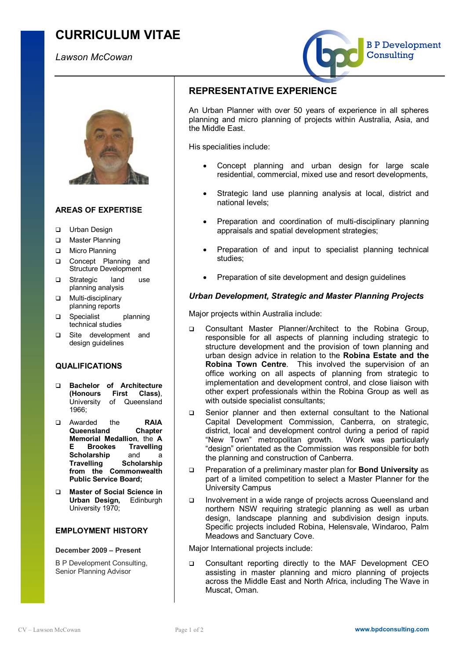# **CURRICULUM VITAE**

## *Lawson McCowan*





## **AREAS OF EXPERTISE**

- **Q** Urban Design
- **Q** Master Planning
- D Micro Planning
- **Q** Concept Planning and Structure Development
- **Q** Strategic land use planning analysis
- **Q** Multi-disciplinary planning reports
- **Q** Specialist planning technical studies
- q Site development and design guidelines

### **QUALIFICATIONS**

- q **Bachelor of Architecture (Honours First Class)**, University of Queensland 1966;
- q Awarded the **RAIA Queensland Chapter Memorial Medallion**, the **A E Brookes Travelling Scholarship** and a **Travelling Scholarship from the Commonwealth Public Service Board;**
- q **Master of Social Science in Urban Design,** Edinburgh University 1970;

## **EMPLOYMENT HISTORY**

#### **December 2009 – Present**

B P Development Consulting, Senior Planning Advisor

## **REPRESENTATIVE EXPERIENCE**

An Urban Planner with over 50 years of experience in all spheres planning and micro planning of projects within Australia, Asia, and the Middle East.

His specialities include:

- Concept planning and urban design for large scale residential, commercial, mixed use and resort developments,
- · Strategic land use planning analysis at local, district and national levels;
- Preparation and coordination of multi-disciplinary planning appraisals and spatial development strategies;
- · Preparation of and input to specialist planning technical studies;
- Preparation of site development and design quidelines

### *Urban Development, Strategic and Master Planning Projects*

Major projects within Australia include:

- q Consultant Master Planner/Architect to the Robina Group, responsible for all aspects of planning including strategic to structure development and the provision of town planning and urban design advice in relation to the **Robina Estate and the Robina Town Centre**. This involved the supervision of an office working on all aspects of planning from strategic to implementation and development control, and close liaison with other expert professionals within the Robina Group as well as with outside specialist consultants;
- q Senior planner and then external consultant to the National Capital Development Commission, Canberra, on strategic, district, local and development control during a period of rapid "New Town" metropolitan growth. Work was particularly "design" orientated as the Commission was responsible for both the planning and construction of Canberra.
- q Preparation of a preliminary master plan for **Bond University** as part of a limited competition to select a Master Planner for the University Campus
- q Involvement in a wide range of projects across Queensland and northern NSW requiring strategic planning as well as urban design, landscape planning and subdivision design inputs. Specific projects included Robina, Helensvale, Windaroo, Palm Meadows and Sanctuary Cove.

Major International projects include:

q Consultant reporting directly to the MAF Development CEO assisting in master planning and micro planning of projects across the Middle East and North Africa, including The Wave in Muscat, Oman.